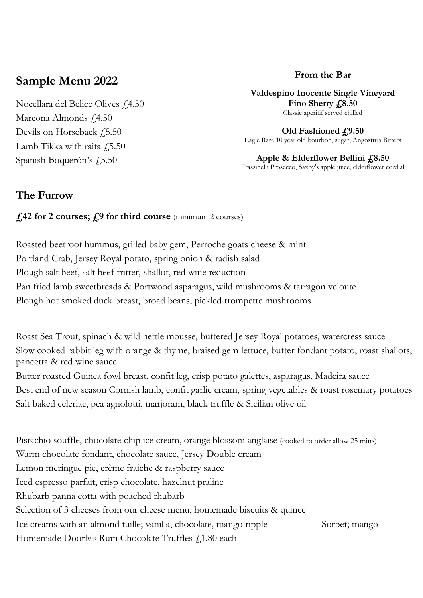# **Sample Menu 2022**

Nocellara del Belice Olives  $f$ 4.50 Marcona Almonds £4.50 Devils on Horseback  $\ddagger$ ,5.50 Lamb Tikka with raita  $f$ 5.50 Spanish Boquerón's £5.50

### **From the Bar**

**Valdespino Inocente Single Vineyard**  Fino Sherry  $\text{\textsterling}8.50$ Classic aperitif served chilled

**Old Fashioned £9.50** Eagle Rare 10 year old bourbon, sugar, Angostura Bitters

**Apple & Elderflower Bellini £8.50** Frassinelli Prosecco, Saxby's apple juice, elderflower cordial

## **The Furrow**

#### **£42 for 2 courses; £9 for third course** (minimum 2 courses)

Roasted beetroot hummus, grilled baby gem, Perroche goats cheese & mint Portland Crab, Jersey Royal potato, spring onion & radish salad Plough salt beef, salt beef fritter, shallot, red wine reduction Pan fried lamb sweetbreads & Portwood asparagus, wild mushrooms & tarragon veloute Plough hot smoked duck breast, broad beans, pickled trompette mushrooms

Roast Sea Trout, spinach & wild nettle mousse, buttered Jersey Royal potatoes, watercress sauce Slow cooked rabbit leg with orange & thyme, braised gem lettuce, butter fondant potato, roast shallots, pancetta & red wine sauce Butter roasted Guinea fowl breast, confit leg, crisp potato galettes, asparagus, Madeira sauce Best end of new season Cornish lamb, confit garlic cream, spring vegetables & roast rosemary potatoes Salt baked celeriac, pea agnolotti, marjoram, black truffle & Sicilian olive oil

Pistachio souffle, chocolate chip ice cream, orange blossom anglaise (cooked to order allow 25 mins) Warm chocolate fondant, chocolate sauce, Jersey Double cream Lemon meringue pie, crème fraiche & raspberry sauce Iced espresso parfait, crisp chocolate, hazelnut praline Rhubarb panna cotta with poached rhubarb Selection of 3 cheeses from our cheese menu, homemade biscuits & quince Ice creams with an almond tuille; vanilla, chocolate, mango ripple Sorbet; mango Homemade Doorly's Rum Chocolate Truffles  $f$  1.80 each